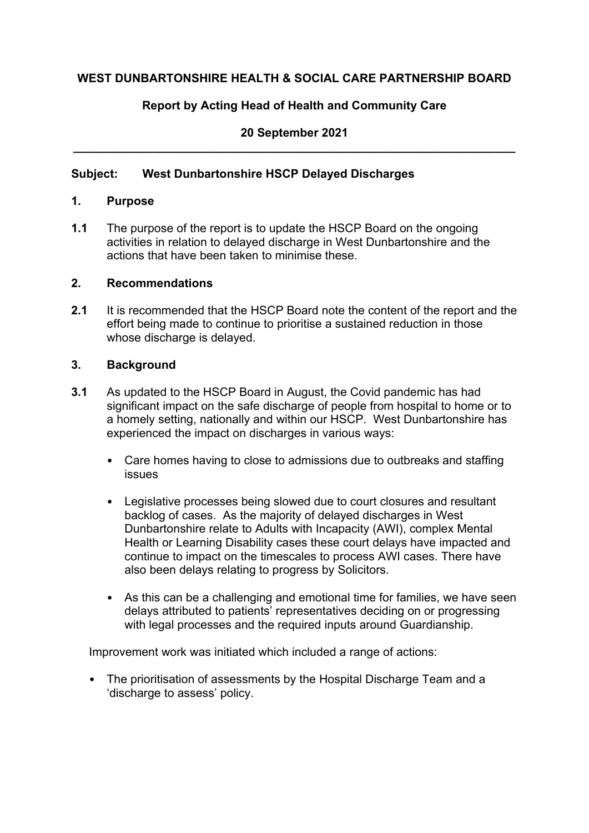# **WEST DUNBARTONSHIRE HEALTH & SOCIAL CARE PARTNERSHIP BOARD**

# **Report by Acting Head of Health and Community Care**

## **20 September 2021 \_\_\_\_\_\_\_\_\_\_\_\_\_\_\_\_\_\_\_\_\_\_\_\_\_\_\_\_\_\_\_\_\_\_\_\_\_\_\_\_\_\_\_\_\_\_\_\_\_\_\_\_\_\_\_\_\_\_\_\_\_\_\_\_\_\_\_**

## **Subject: West Dunbartonshire HSCP Delayed Discharges**

#### **1. Purpose**

**1.1** The purpose of the report is to update the HSCP Board on the ongoing activities in relation to delayed discharge in West Dunbartonshire and the actions that have been taken to minimise these.

## **2. Recommendations**

**2.1** It is recommended that the HSCP Board note the content of the report and the effort being made to continue to prioritise a sustained reduction in those whose discharge is delayed.

#### **3. Background**

- **3.1** As updated to the HSCP Board in August, the Covid pandemic has had significant impact on the safe discharge of people from hospital to home or to a homely setting, nationally and within our HSCP. West Dunbartonshire has experienced the impact on discharges in various ways:
	- Care homes having to close to admissions due to outbreaks and staffing issues
	- Legislative processes being slowed due to court closures and resultant backlog of cases. As the majority of delayed discharges in West Dunbartonshire relate to Adults with Incapacity (AWI), complex Mental Health or Learning Disability cases these court delays have impacted and continue to impact on the timescales to process AWI cases. There have also been delays relating to progress by Solicitors.
	- As this can be a challenging and emotional time for families, we have seen delays attributed to patients' representatives deciding on or progressing with legal processes and the required inputs around Guardianship.

Improvement work was initiated which included a range of actions:

• The prioritisation of assessments by the Hospital Discharge Team and a 'discharge to assess' policy.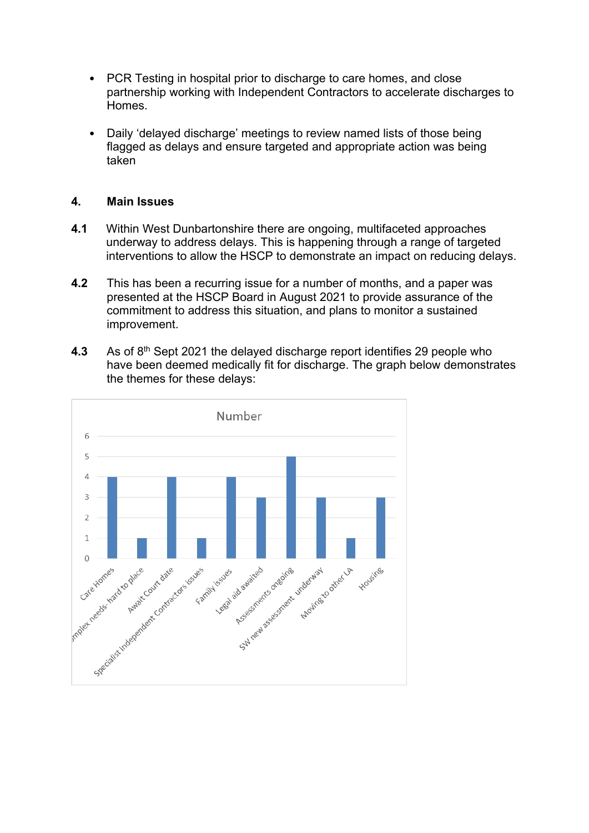- PCR Testing in hospital prior to discharge to care homes, and close partnership working with Independent Contractors to accelerate discharges to **Homes**
- Daily 'delayed discharge' meetings to review named lists of those being flagged as delays and ensure targeted and appropriate action was being taken

#### **4. Main Issues**

- **4.1** Within West Dunbartonshire there are ongoing, multifaceted approaches underway to address delays. This is happening through a range of targeted interventions to allow the HSCP to demonstrate an impact on reducing delays.
- **4.2** This has been a recurring issue for a number of months, and a paper was presented at the HSCP Board in August 2021 to provide assurance of the commitment to address this situation, and plans to monitor a sustained improvement.
- **4.3** As of 8th Sept 2021 the delayed discharge report identifies 29 people who have been deemed medically fit for discharge. The graph below demonstrates the themes for these delays:

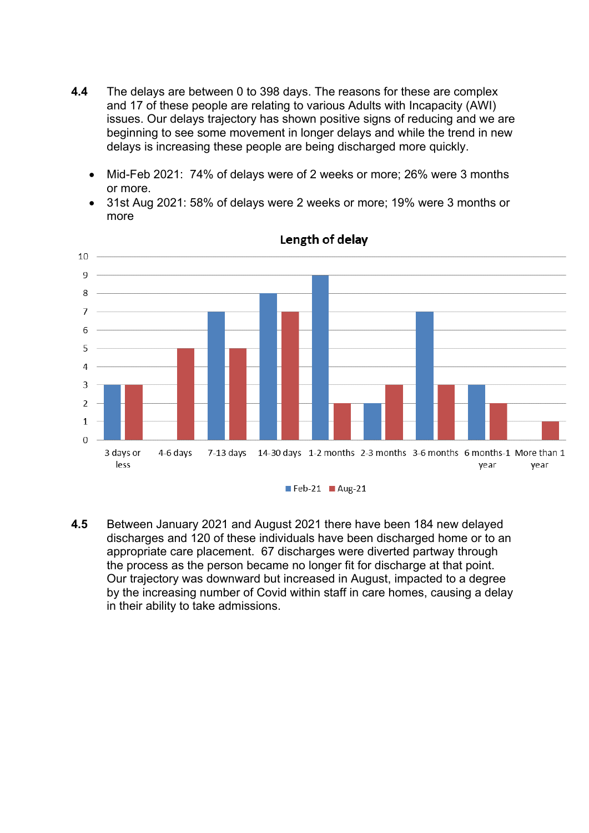- **4.4** The delays are between 0 to 398 days. The reasons for these are complex and 17 of these people are relating to various Adults with Incapacity (AWI) issues. Our delays trajectory has shown positive signs of reducing and we are beginning to see some movement in longer delays and while the trend in new delays is increasing these people are being discharged more quickly.
	- Mid-Feb 2021: 74% of delays were of 2 weeks or more; 26% were 3 months or more.
	- 31st Aug 2021: 58% of delays were 2 weeks or more; 19% were 3 months or more



#### Length of delay

**4.5** Between January 2021 and August 2021 there have been 184 new delayed discharges and 120 of these individuals have been discharged home or to an appropriate care placement. 67 discharges were diverted partway through the process as the person became no longer fit for discharge at that point. Our trajectory was downward but increased in August, impacted to a degree by the increasing number of Covid within staff in care homes, causing a delay in their ability to take admissions.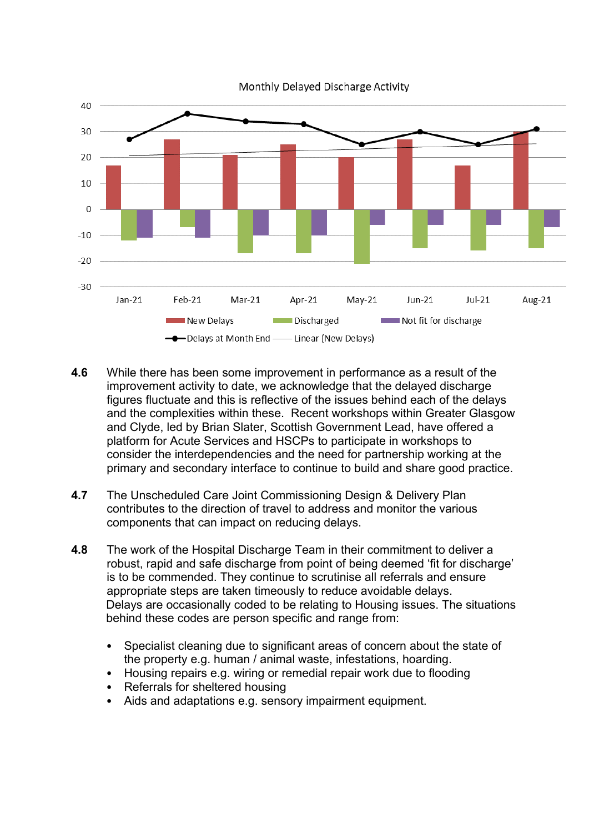

Monthly Delayed Discharge Activity

- **4.6** While there has been some improvement in performance as a result of the improvement activity to date, we acknowledge that the delayed discharge figures fluctuate and this is reflective of the issues behind each of the delays and the complexities within these. Recent workshops within Greater Glasgow and Clyde, led by Brian Slater, Scottish Government Lead, have offered a platform for Acute Services and HSCPs to participate in workshops to consider the interdependencies and the need for partnership working at the primary and secondary interface to continue to build and share good practice.
- **4.7** The Unscheduled Care Joint Commissioning Design & Delivery Plan contributes to the direction of travel to address and monitor the various components that can impact on reducing delays.
- **4.8** The work of the Hospital Discharge Team in their commitment to deliver a robust, rapid and safe discharge from point of being deemed 'fit for discharge' is to be commended. They continue to scrutinise all referrals and ensure appropriate steps are taken timeously to reduce avoidable delays. Delays are occasionally coded to be relating to Housing issues. The situations behind these codes are person specific and range from:
	- Specialist cleaning due to significant areas of concern about the state of the property e.g. human / animal waste, infestations, hoarding.
	- Housing repairs e.g. wiring or remedial repair work due to flooding
	- Referrals for sheltered housing
	- Aids and adaptations e.g. sensory impairment equipment.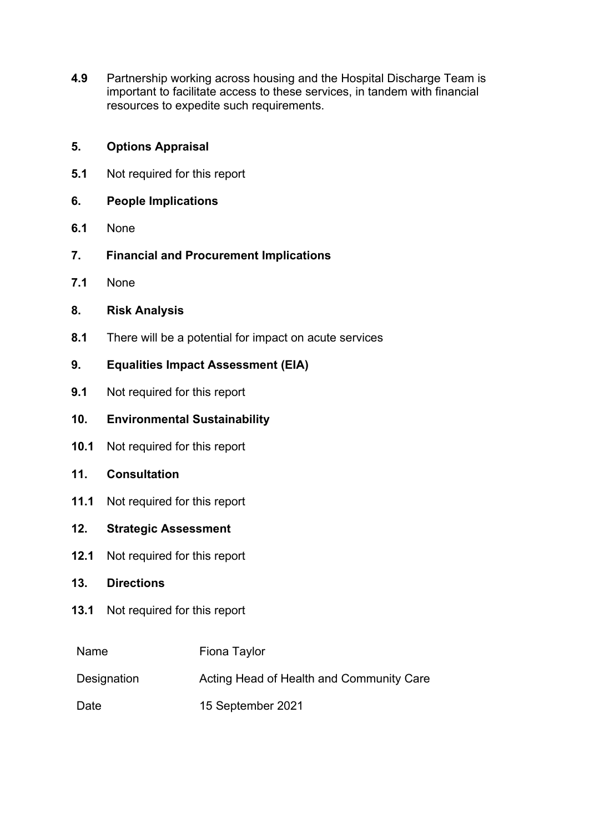**4.9** Partnership working across housing and the Hospital Discharge Team is important to facilitate access to these services, in tandem with financial resources to expedite such requirements.

## **5. Options Appraisal**

- **5.1** Not required for this report
- **6. People Implications**
- **6.1** None
- **7. Financial and Procurement Implications**
- **7.1** None
- **8. Risk Analysis**
- **8.1** There will be a potential for impact on acute services

## **9. Equalities Impact Assessment (EIA)**

- **9.1** Not required for this report
- **10. Environmental Sustainability**
- **10.1** Not required for this report
- **11. Consultation**
- **11.1** Not required for this report
- **12. Strategic Assessment**
- **12.1** Not required for this report
- **13. Directions**
- **13.1** Not required for this report

| Name        | Fiona Taylor                             |
|-------------|------------------------------------------|
| Designation | Acting Head of Health and Community Care |
| Date        | 15 September 2021                        |